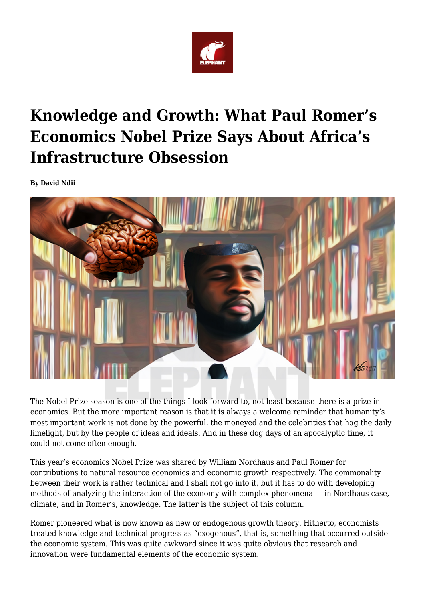

## **Knowledge and Growth: What Paul Romer's Economics Nobel Prize Says About Africa's Infrastructure Obsession**

**By David Ndii**



The Nobel Prize season is one of the things I look forward to, not least because there is a prize in economics. But the more important reason is that it is always a welcome reminder that humanity's most important work is not done by the powerful, the moneyed and the celebrities that hog the daily limelight, but by the people of ideas and ideals. And in these dog days of an apocalyptic time, it could not come often enough.

This year's economics Nobel Prize was shared by William Nordhaus and Paul Romer for contributions to natural resource economics and economic growth respectively. The commonality between their work is rather technical and I shall not go into it, but it has to do with developing methods of analyzing the interaction of the economy with complex phenomena — in Nordhaus case, climate, and in Romer's, knowledge. The latter is the subject of this column.

Romer pioneered what is now known as new or endogenous growth theory. Hitherto, economists treated knowledge and technical progress as "exogenous", that is, something that occurred outside the economic system. This was quite awkward since it was quite obvious that research and innovation were fundamental elements of the economic system.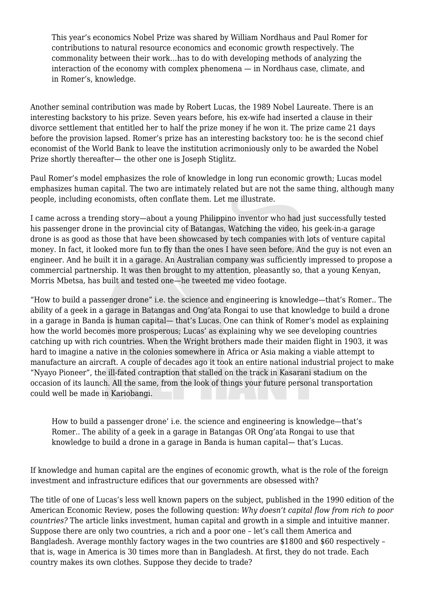This year's economics Nobel Prize was shared by William Nordhaus and Paul Romer for contributions to natural resource economics and economic growth respectively. The commonality between their work…has to do with developing methods of analyzing the interaction of the economy with complex phenomena — in Nordhaus case, climate, and in Romer's, knowledge.

Another seminal contribution was made by Robert Lucas, the 1989 Nobel Laureate. There is an interesting backstory to his prize. Seven years before, his ex-wife had inserted a clause in their divorce settlement that entitled her to half the prize money if he won it. The prize came 21 days before the provision lapsed. Romer's prize has an interesting backstory too: he is the second chief economist of the World Bank to leave the institution acrimoniously only to be awarded the Nobel Prize shortly thereafter— the other one is Joseph Stiglitz.

Paul Romer's model emphasizes the role of knowledge in long run economic growth; Lucas model emphasizes human capital. The two are intimately related but are not the same thing, although many people, including economists, often conflate them. Let me illustrate.

I came across a trending story—about a young Philippino inventor who had just successfully tested his passenger drone in the provincial city of Batangas, Watching the video, his geek-in-a garage drone is as good as those that have been showcased by tech companies with lots of venture capital money. In fact, it looked more fun to fly than the ones I have seen before. And the guy is not even an engineer. And he built it in a garage. An Australian company was sufficiently impressed to propose a commercial partnership. It was then brought to my attention, pleasantly so, that a young Kenyan, Morris Mbetsa, has built and tested one—he tweeted me video footage.

"How to build a passenger drone" i.e. the science and engineering is knowledge—that's Romer.. The ability of a geek in a garage in Batangas and Ong'ata Rongai to use that knowledge to build a drone in a garage in Banda is human capital— that's Lucas. One can think of Romer's model as explaining how the world becomes more prosperous; Lucas' as explaining why we see developing countries catching up with rich countries. When the Wright brothers made their maiden flight in 1903, it was hard to imagine a native in the colonies somewhere in Africa or Asia making a viable attempt to manufacture an aircraft. A couple of decades ago it took an entire national industrial project to make "Nyayo Pioneer", the ill-fated contraption that stalled on the track in Kasarani stadium on the occasion of its launch. All the same, from the look of things your future personal transportation could well be made in Kariobangi.

How to build a passenger drone' i.e. the science and engineering is knowledge—that's Romer.. The ability of a geek in a garage in Batangas OR Ong'ata Rongai to use that knowledge to build a drone in a garage in Banda is human capital— that's Lucas.

If knowledge and human capital are the engines of economic growth, what is the role of the foreign investment and infrastructure edifices that our governments are obsessed with?

The title of one of Lucas's less well known papers on the subject, published in the 1990 edition of the American Economic Review, poses the following question: *Why doesn't capital flow from rich to poor countries?* The article links investment, human capital and growth in a simple and intuitive manner. Suppose there are only two countries, a rich and a poor one – let's call them America and Bangladesh. Average monthly factory wages in the two countries are \$1800 and \$60 respectively – that is, wage in America is 30 times more than in Bangladesh. At first, they do not trade. Each country makes its own clothes. Suppose they decide to trade?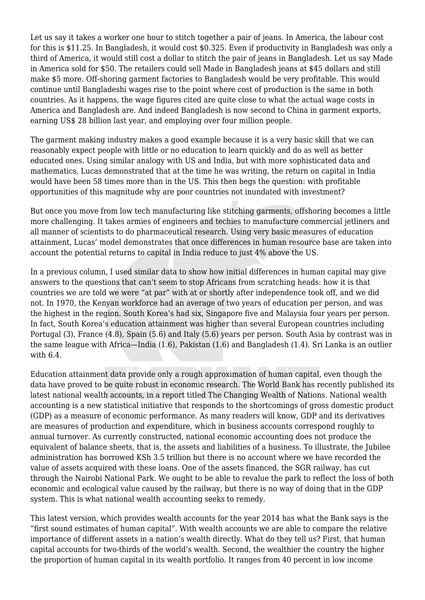Let us say it takes a worker one hour to stitch together a pair of jeans. In America, the labour cost for this is \$11.25. In Bangladesh, it would cost \$0.325. Even if productivity in Bangladesh was only a third of America, it would still cost a dollar to stitch the pair of jeans in Bangladesh. Let us say Made in America sold for \$50. The retailers could sell Made in Bangladesh jeans at \$45 dollars and still make \$5 more. Off-shoring garment factories to Bangladesh would be very profitable. This would continue until Bangladeshi wages rise to the point where cost of production is the same in both countries. As it happens, the wage figures cited are quite close to what the actual wage costs in America and Bangladesh are. And indeed Bangladesh is now second to China in garment exports, earning US\$ 28 billion last year, and employing over four million people.

The garment making industry makes a good example because it is a very basic skill that we can reasonably expect people with little or no education to learn quickly and do as well as better educated ones. Using similar analogy with US and India, but with more sophisticated data and mathematics, Lucas demonstrated that at the time he was writing, the return on capital in India would have been 58 times more than in the US. This then begs the question: with profitable opportunities of this magnitude why are poor countries not inundated with investment?

But once you move from low tech manufacturing like stitching garments, offshoring becomes a little more challenging. It takes armies of engineers and techies to manufacture commercial jetliners and all manner of scientists to do pharmaceutical research. Using very basic measures of education attainment, Lucas' model demonstrates that once differences in human resource base are taken into account the potential returns to capital in India reduce to just 4% above the US.

In a previous column, I used similar data to show how initial differences in human capital may give answers to the questions that can't seem to stop Africans from scratching heads: how it is that countries we are told we were "at par" with at or shortly after independence took off, and we did not. In 1970, the Kenyan workforce had an average of two years of education per person, and was the highest in the region. South Korea's had six, Singapore five and Malaysia four years per person. In fact, South Korea's education attainment was higher than several European countries including Portugal (3), France (4.8), Spain (5.6) and Italy (5.6) years per person. South Asia by contrast was in the same league with Africa—India (1.6), Pakistan (1.6) and Bangladesh (1.4). Sri Lanka is an outlier with 6.4.

Education attainment data provide only a rough approximation of human capital, even though the data have proved to be quite robust in economic research. The World Bank has recently published its latest national wealth accounts, in a report titled The Changing Wealth of Nations. National wealth accounting is a new statistical initiative that responds to the shortcomings of gross domestic product (GDP) as a measure of economic performance. As many readers will know, GDP and its derivatives are measures of production and expenditure, which in business accounts correspond roughly to annual turnover. As currently constructed, national economic accounting does not produce the equivalent of balance sheets, that is, the assets and liabilities of a business. To illustrate, the Jubilee administration has borrowed KSh 3.5 trillion but there is no account where we have recorded the value of assets acquired with these loans. One of the assets financed, the SGR railway, has cut through the Nairobi National Park. We ought to be able to revalue the park to reflect the loss of both economic and ecological value caused by the railway, but there is no way of doing that in the GDP system. This is what national wealth accounting seeks to remedy.

This latest version, which provides wealth accounts for the year 2014 has what the Bank says is the "first sound estimates of human capital". With wealth accounts we are able to compare the relative importance of different assets in a nation's wealth directly. What do they tell us? First, that human capital accounts for two-thirds of the world's wealth. Second, the wealthier the country the higher the proportion of human capital in its wealth portfolio. It ranges from 40 percent in low income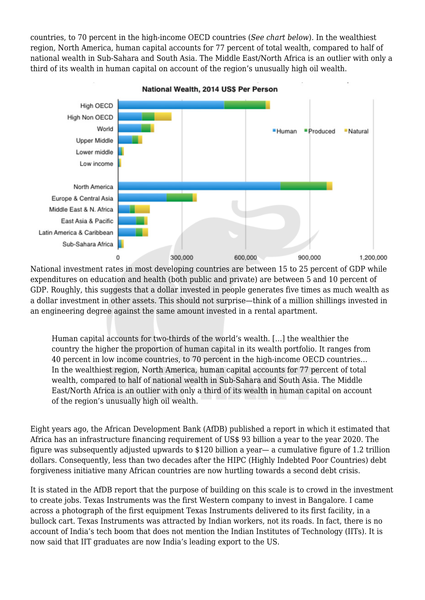countries, to 70 percent in the high-income OECD countries (*See chart below*). In the wealthiest region, North America, human capital accounts for 77 percent of total wealth, compared to half of national wealth in Sub-Sahara and South Asia. The Middle East/North Africa is an outlier with only a third of its wealth in human capital on account of the region's unusually high oil wealth.



National Wealth, 2014 US\$ Per Person

National investment rates in most developing countries are between 15 to 25 percent of GDP while expenditures on education and health (both public and private) are between 5 and 10 percent of GDP. Roughly, this suggests that a dollar invested in people generates five times as much wealth as a dollar investment in other assets. This should not surprise—think of a million shillings invested in an engineering degree against the same amount invested in a rental apartment.

Human capital accounts for two-thirds of the world's wealth. […] the wealthier the country the higher the proportion of human capital in its wealth portfolio. It ranges from 40 percent in low income countries, to 70 percent in the high-income OECD countries… In the wealthiest region, North America, human capital accounts for 77 percent of total wealth, compared to half of national wealth in Sub-Sahara and South Asia. The Middle East/North Africa is an outlier with only a third of its wealth in human capital on account of the region's unusually high oil wealth.

Eight years ago, the African Development Bank (AfDB) published a report in which it estimated that Africa has an infrastructure financing requirement of US\$ 93 billion a year to the year 2020. The figure was subsequently adjusted upwards to \$120 billion a year— a cumulative figure of 1.2 trillion dollars. Consequently, less than two decades after the HIPC (Highly Indebted Poor Countries) debt forgiveness initiative many African countries are now hurtling towards a second debt crisis.

It is stated in the AfDB report that the purpose of building on this scale is to crowd in the investment to create jobs. Texas Instruments was the first Western company to invest in Bangalore. I came across a photograph of the first equipment Texas Instruments delivered to its first facility, in a bullock cart. Texas Instruments was attracted by Indian workers, not its roads. In fact, there is no account of India's tech boom that does not mention the Indian Institutes of Technology (IITs). It is now said that IIT graduates are now India's leading export to the US.